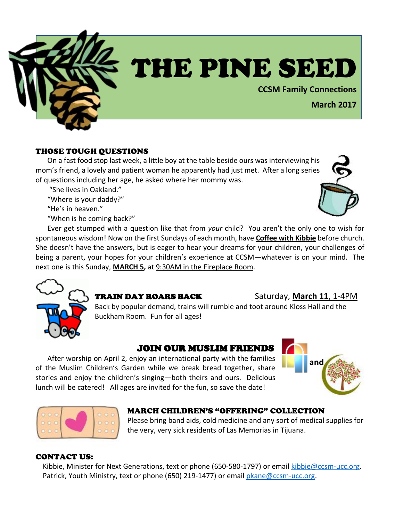

# THE PINE SEED

**CCSM Family Connections**

# **March 2017**

# THOSE TOUGH QUESTIONS

On a fast food stop last week, a little boy at the table beside ours was interviewing his mom's friend, a lovely and patient woman he apparently had just met. After a long series of questions including her age, he asked where her mommy was.

"She lives in Oakland."

"Where is your daddy?"

"He's in heaven."

"When is he coming back?"

Ever get stumped with a question like that from *your* child? You aren't the only one to wish for spontaneous wisdom! Now on the first Sundays of each month, have **Coffee with Kibbie** before church. She doesn't have the answers, but is eager to hear your dreams for your children, your challenges of being a parent, your hopes for your children's experience at CCSM—whatever is on your mind. The next one is this Sunday, **MARCH 5,** at 9:30AM in the Fireplace Room.



# **TRAIN DAY ROARS BACK** Saturday, March 11, 1-4PM

Back by popular demand, trains will rumble and toot around Kloss Hall and the Buckham Room. Fun for all ages!

# JOIN OUR MUSLIM FRIENDS

After worship on April 2, enjoy an international party with the families of the Muslim Children's Garden while we break bread together, share stories and enjoy the children's singing—both theirs and ours. Delicious lunch will be catered! All ages are invited for the fun, so save the date!





# MARCH CHILDREN'S "OFFERING" COLLECTION

Please bring band aids, cold medicine and any sort of medical supplies for the very, very sick residents of Las Memorias in Tijuana.

#### CONTACT US:

 Kibbie, Minister for Next Generations, text or phone (650-580-1797) or email [kibbie@ccsm-ucc.org.](mailto:kibbie@ccsm-ucc.org) Patrick, Youth Ministry, text or phone (650) 219-1477) or email [pkane@ccsm-ucc.org.](mailto:pkane@ccsm-ucc.org)

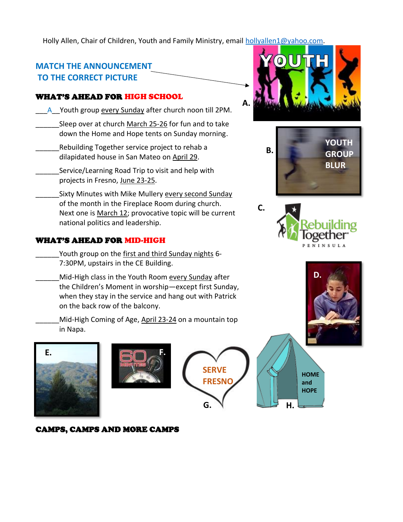Holly Allen, Chair of Children, Youth and Family Ministry, email [hollyallen1@yahoo.com.](mailto:hollyallen1@yahoo.com)

# **MATCH THE ANNOUNCEMENT TO THE CORRECT PICTURE**

# WHAT'S AHEAD FOR HIGH SCHOOL

- A\_Youth group every Sunday after church noon till 2PM.
- Sleep over at church March 25-26 for fun and to take down the Home and Hope tents on Sunday morning.
- Rebuilding Together service project to rehab a dilapidated house in San Mateo on April 29.
	- Service/Learning Road Trip to visit and help with projects in Fresno, June 23-25.
- Sixty Minutes with Mike Mullery every second Sunday of the month in the Fireplace Room during church. Next one is March 12; provocative topic will be current national politics and leadership.

# WHAT'S AHEAD FOR MID-HIGH

- Youth group on the first and third Sunday nights 6-7:30PM, upstairs in the CE Building.
- Mid-High class in the Youth Room every Sunday after the Children's Moment in worship—except first Sunday, when they stay in the service and hang out with Patrick on the back row of the balcony.
	- Mid-High Coming of Age, April 23-24 on a mountain top in Napa.









**A.**







**HOME and HOPE H.**

# CAMPS, CAMPS AND MORE CAMPS